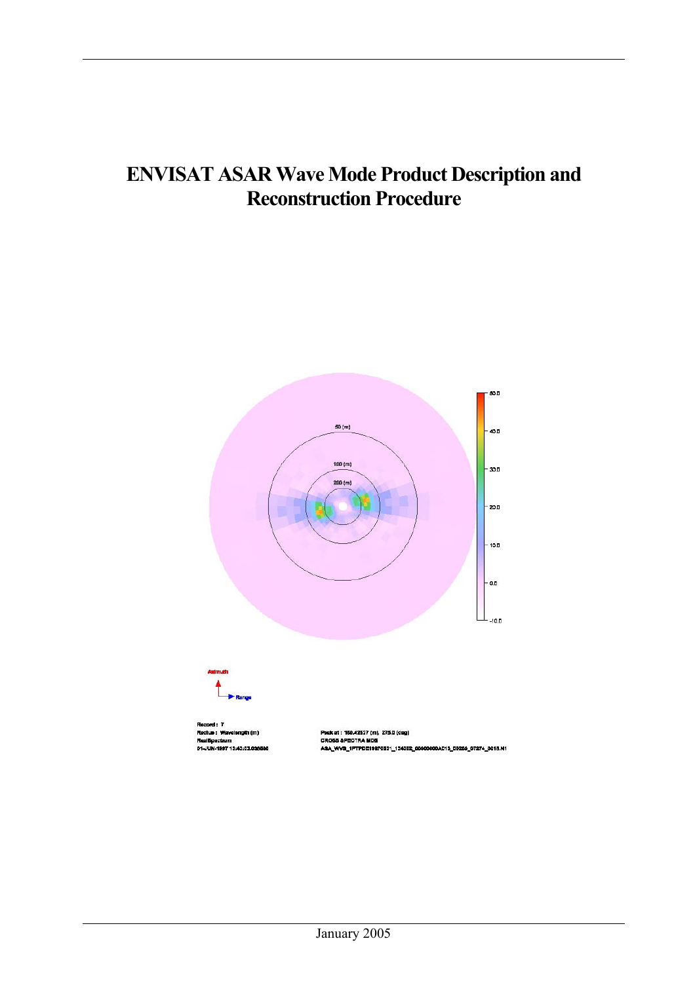## **ENVISAT ASAR Wave Mode Product Description and Reconstruction Procedure**

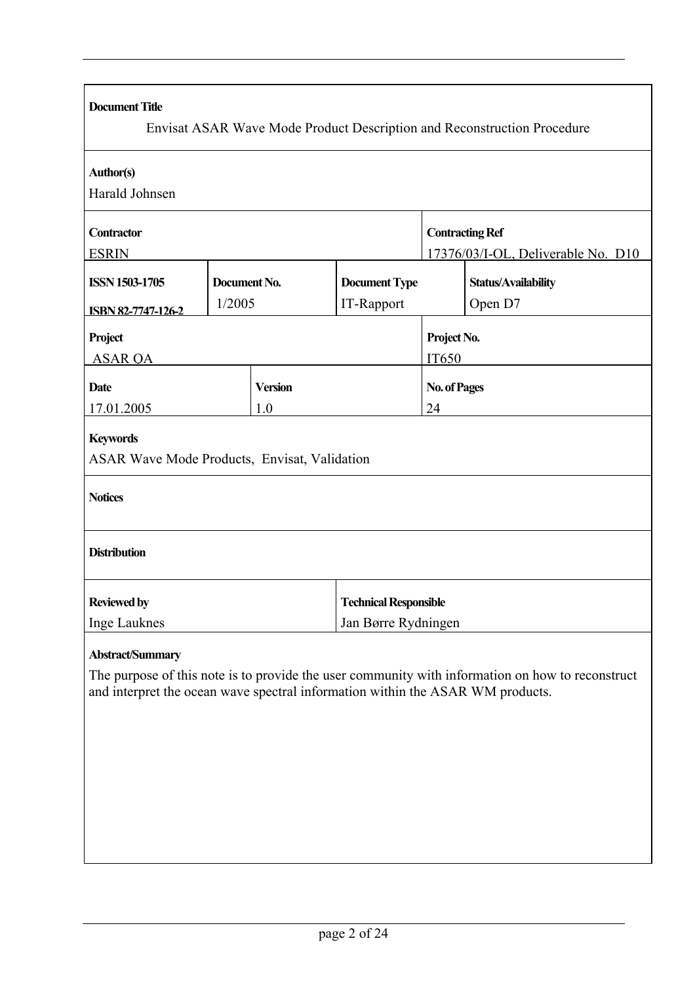| <b>Document Title</b>                                                                                     |              |                |                                    |                        | Envisat ASAR Wave Mode Product Description and Reconstruction Procedure                          |
|-----------------------------------------------------------------------------------------------------------|--------------|----------------|------------------------------------|------------------------|--------------------------------------------------------------------------------------------------|
|                                                                                                           |              |                |                                    |                        |                                                                                                  |
| <b>Author(s)</b>                                                                                          |              |                |                                    |                        |                                                                                                  |
| Harald Johnsen                                                                                            |              |                |                                    |                        |                                                                                                  |
| Contractor                                                                                                |              |                |                                    | <b>Contracting Ref</b> |                                                                                                  |
| <b>ESRIN</b>                                                                                              |              |                | 17376/03/I-OL, Deliverable No. D10 |                        |                                                                                                  |
| <b>ISSN 1503-1705</b>                                                                                     | Document No. |                | <b>Document Type</b>               |                        | <b>Status/Availability</b>                                                                       |
| <b>ISBN 82-7747-126-2</b>                                                                                 | 1/2005       |                | IT-Rapport                         | Open D7                |                                                                                                  |
| Project                                                                                                   |              |                |                                    | Project No.            |                                                                                                  |
| <b>ASAR OA</b>                                                                                            |              |                |                                    | IT650                  |                                                                                                  |
| <b>Date</b>                                                                                               |              | <b>Version</b> |                                    | <b>No. of Pages</b>    |                                                                                                  |
| 17.01.2005                                                                                                |              | 1.0            |                                    | 24                     |                                                                                                  |
| <b>Keywords</b><br>ASAR Wave Mode Products, Envisat, Validation<br><b>Notices</b><br><b>Distribution</b>  |              |                |                                    |                        |                                                                                                  |
| <b>Reviewed by</b>                                                                                        |              |                | <b>Technical Responsible</b>       |                        |                                                                                                  |
| <b>Inge Lauknes</b>                                                                                       |              |                | Jan Børre Rydningen                |                        |                                                                                                  |
| <b>Abstract/Summary</b><br>and interpret the ocean wave spectral information within the ASAR WM products. |              |                |                                    |                        | The purpose of this note is to provide the user community with information on how to reconstruct |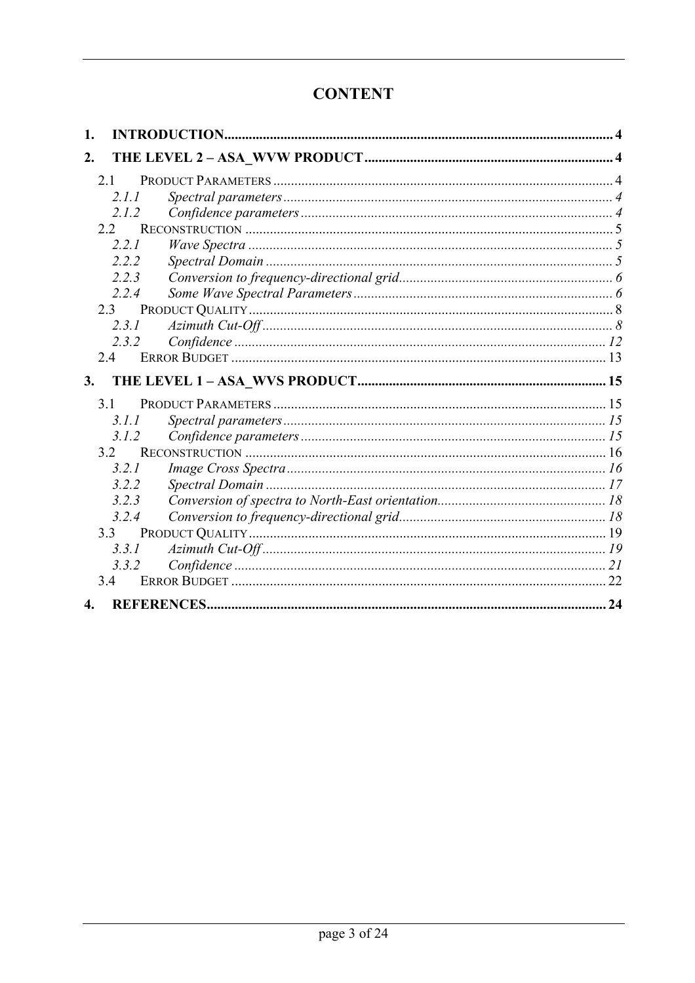## **CONTENT**

| 1. |       |  |
|----|-------|--|
| 2. |       |  |
|    | 2.1   |  |
|    | 2.1.1 |  |
|    | 2.1.2 |  |
|    | 22    |  |
|    | 2.2.1 |  |
|    | 2.2.2 |  |
|    | 2.2.3 |  |
|    | 2.2.4 |  |
|    | 2.3   |  |
|    | 2.3.1 |  |
|    | 2.3.2 |  |
|    | 24    |  |
| 3. |       |  |
|    |       |  |
|    | 3.1   |  |
|    | 3.1.1 |  |
|    | 3.1.2 |  |
|    | 3.2   |  |
|    | 3.2.1 |  |
|    | 3.2.2 |  |
|    | 3.2.3 |  |
|    | 3.2.4 |  |
|    | 3.3   |  |
|    | 3.3.1 |  |
|    | 3.3.2 |  |
|    | 34    |  |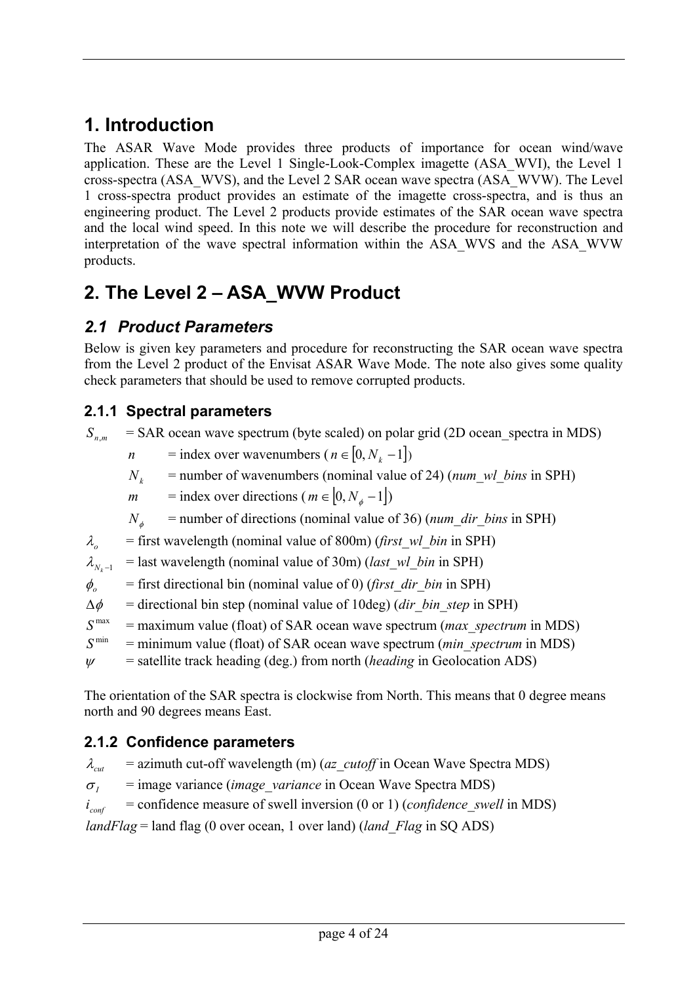## <span id="page-3-0"></span>**1. Introduction**

The ASAR Wave Mode provides three products of importance for ocean wind/wave application. These are the Level 1 Single-Look-Complex imagette (ASA\_WVI), the Level 1 cross-spectra (ASA\_WVS), and the Level 2 SAR ocean wave spectra (ASA\_WVW). The Level 1 cross-spectra product provides an estimate of the imagette cross-spectra, and is thus an engineering product. The Level 2 products provide estimates of the SAR ocean wave spectra and the local wind speed. In this note we will describe the procedure for reconstruction and interpretation of the wave spectral information within the ASA\_WVS and the ASA\_WVW products.

# **2. The Level 2 – ASA\_WVW Product**

## *2.1 Product Parameters*

Below is given key parameters and procedure for reconstructing the SAR ocean wave spectra from the Level 2 product of the Envisat ASAR Wave Mode. The note also gives some quality check parameters that should be used to remove corrupted products.

## **2.1.1 Spectral parameters**

 $S_{nm}$  = SAR ocean wave spectrum (byte scaled) on polar grid (2D ocean spectra in MDS)

- *n* = index over wavenumbers ( $n \in [0, N_k -1]$ )
- $N_k$  = number of wavenumbers (nominal value of 24) ( $num\_wl\_bins$  in SPH)
- *m* = index over directions ( $m \in [0, N_{\phi} 1]$ )

 $N_{\phi}$  = number of directions (nominal value of 36) (*num\_dir\_bins* in SPH)

 $\lambda$ <sub>o</sub> = first wavelength (nominal value of 800m) (*first wl bin* in SPH)

 $\lambda_{N-1}$  = last wavelength (nominal value of 30m) (*last\_wl\_bin* in SPH)

 $\phi$ <sub>o</sub> = first directional bin (nominal value of 0) (*first dir bin* in SPH)

 $\Delta \phi$  = directional bin step (nominal value of 10deg) (*dir bin step* in SPH)

- $S<sup>max</sup>$  = maximum value (float) of SAR ocean wave spectrum (*max spectrum* in MDS)
- $S<sup>min</sup>$  = minimum value (float) of SAR ocean wave spectrum (*min spectrum* in MDS)
- $\psi$  = satellite track heading (deg.) from north (*heading* in Geolocation ADS)

The orientation of the SAR spectra is clockwise from North. This means that 0 degree means north and 90 degrees means East.

### **2.1.2 Confidence parameters**

 $\lambda_{\text{cut}}$  = azimuth cut-off wavelength (m) (*az\_cutoff* in Ocean Wave Spectra MDS)

 $\sigma_{I}$  = image variance (*image variance* in Ocean Wave Spectra MDS)

 $i_{conf}$  = confidence measure of swell inversion (0 or 1) (*confidence* swell in MDS)

*landFlag* = land flag (0 over ocean, 1 over land) (*land\_Flag* in SQ ADS)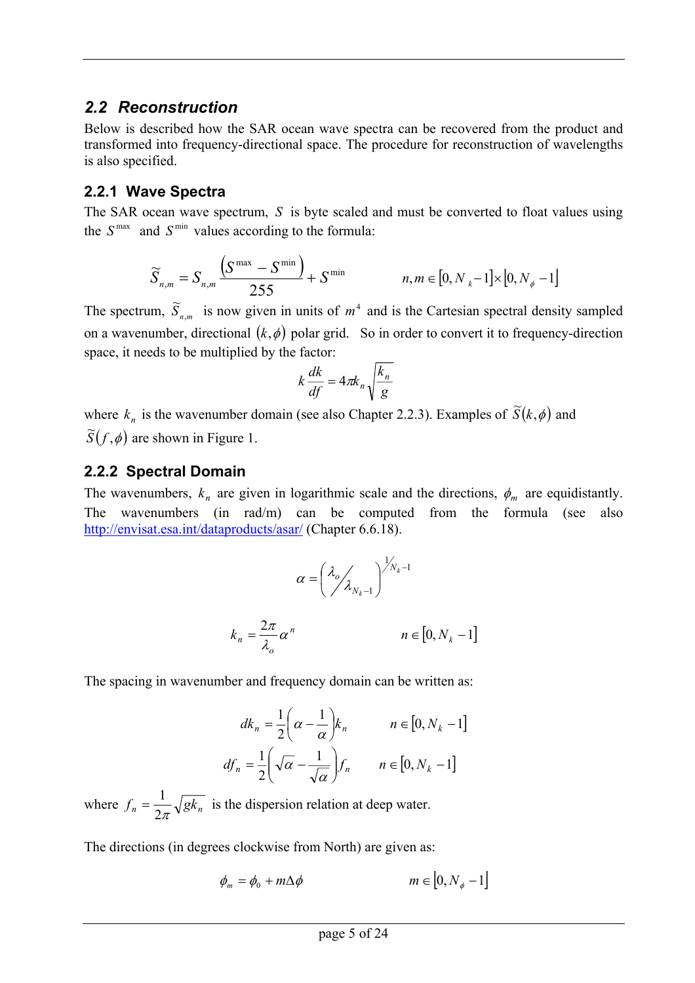### <span id="page-4-0"></span>*2.2 Reconstruction*

Below is described how the SAR ocean wave spectra can be recovered from the product and transformed into frequency-directional space. The procedure for reconstruction of wavelengths is also specified.

### **2.2.1 Wave Spectra**

The SAR ocean wave spectrum,  $S$  is byte scaled and must be converted to float values using the  $S^{\text{max}}$  and  $S^{\text{min}}$  values according to the formula:

$$
\widetilde{S}_{n,m} = S_{n,m} \frac{\left(S^{\max} - S^{\min}\right)}{255} + S^{\min} \qquad n, m \in [0, N_k - 1] \times [0, N_{\phi} - 1]
$$

The spectrum,  $\widetilde{S}_{n,m}$  is now given in units of  $m^4$  and is the Cartesian spectral density sampled on a wavenumber, directional  $(k, \phi)$  polar grid. So in order to convert it to frequency-direction space, it needs to be multiplied by the factor:

$$
k\frac{dk}{df} = 4\pi k_n \sqrt{\frac{k_n}{g}}
$$

where  $k_n$  is the wavenumber domain (see also Chapter 2.2.3). Examples of  $\tilde{S}(k, \phi)$  and  $\widetilde{S}(f, \phi)$  are shown in Figure 1.

### **2.2.2 Spectral Domain**

The wavenumbers,  $k_n$  are given in logarithmic scale and the directions,  $\phi_m$  are equidistantly. The wavenumbers (in rad/m) can be computed from the formula (see also <http://envisat.esa.int/dataproducts/asar/> (Chapter 6.6.18).

$$
\alpha = \left(\frac{\lambda_o}{\lambda_{N_k-1}}\right)^{\frac{1}{N_k-1}}
$$

$$
k_n = \frac{2\pi}{\lambda_o} \alpha^n \qquad n \in [0, N_k - 1]
$$

The spacing in wavenumber and frequency domain can be written as:

$$
dk_n = \frac{1}{2} \left( \alpha - \frac{1}{\alpha} \right) k_n \qquad n \in [0, N_k - 1]
$$
  

$$
df_n = \frac{1}{2} \left( \sqrt{\alpha} - \frac{1}{\sqrt{\alpha}} \right) f_n \qquad n \in [0, N_k - 1]
$$

where  $f_n = \frac{1}{2\pi} \sqrt{g k_n}$  is the dispersion relation at deep water.

The directions (in degrees clockwise from North) are given as:

$$
\phi_m = \phi_0 + m\Delta\phi \qquad m \in [0, N_\phi - 1]
$$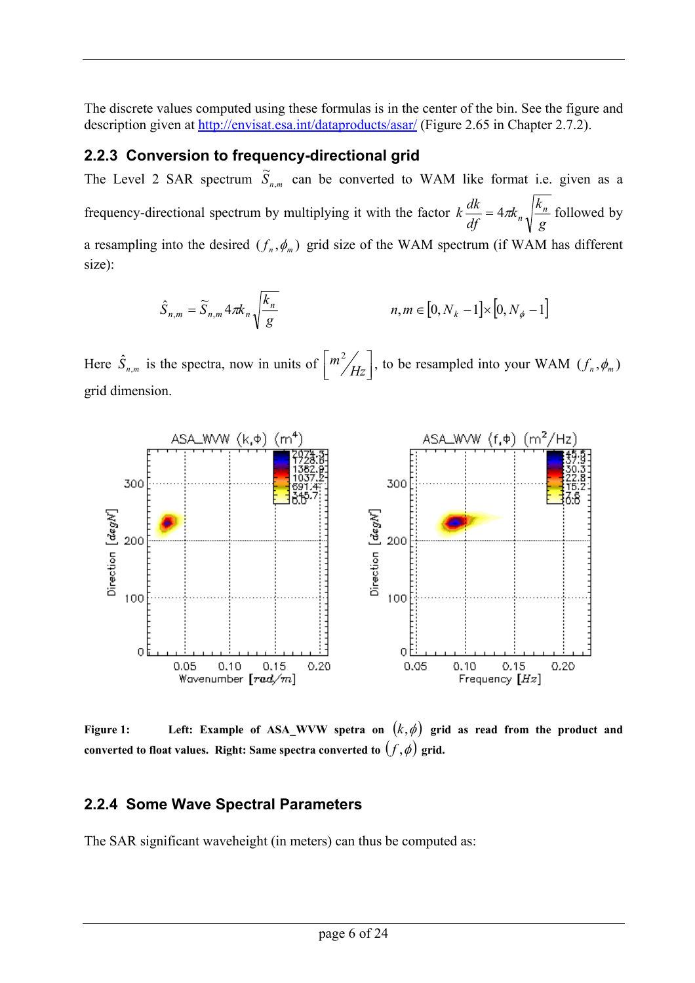<span id="page-5-0"></span>The discrete values computed using these formulas is in the center of the bin. See the figure and description given at <http://envisat.esa.int/dataproducts/asar/> (Figure 2.65 in Chapter 2.7.2).

### **2.2.3 Conversion to frequency-directional grid**

The Level 2 SAR spectrum  $\widetilde{S}_{n,m}$  can be converted to WAM like format i.e. given as a frequency-directional spectrum by multiplying it with the factor *g*  $k_{n}$ <sup>k</sup>  $k \frac{dk}{df} = 4\pi k_n \sqrt{\frac{k_n}{g}}$  followed by a resampling into the desired  $(f_n, \phi_m)$  grid size of the WAM spectrum (if WAM has different size):

$$
\hat{S}_{n,m} = \widetilde{S}_{n,m} 4\pi k_n \sqrt{\frac{k_n}{g}}
$$
\n
$$
n, m \in [0, N_k - 1] \times [0, N_\phi - 1]
$$

Here  $\hat{S}_{n,m}$  is the spectra, now in units of  $\left[\frac{m^2}{H_z}\right]$ *Hz*  $\left\langle m^2 / \frac{1}{H_z} \right\vert$ , to be resampled into your WAM  $(f_n, \phi_m)$ grid dimension.



**Figure 1:** Left: Example of ASA\_WVW spetra on  $(k, \phi)$  grid as read from the product and **converted** to float values. Right: Same spectra converted to  $(f, \phi)$  grid.

### **2.2.4 Some Wave Spectral Parameters**

The SAR significant waveheight (in meters) can thus be computed as: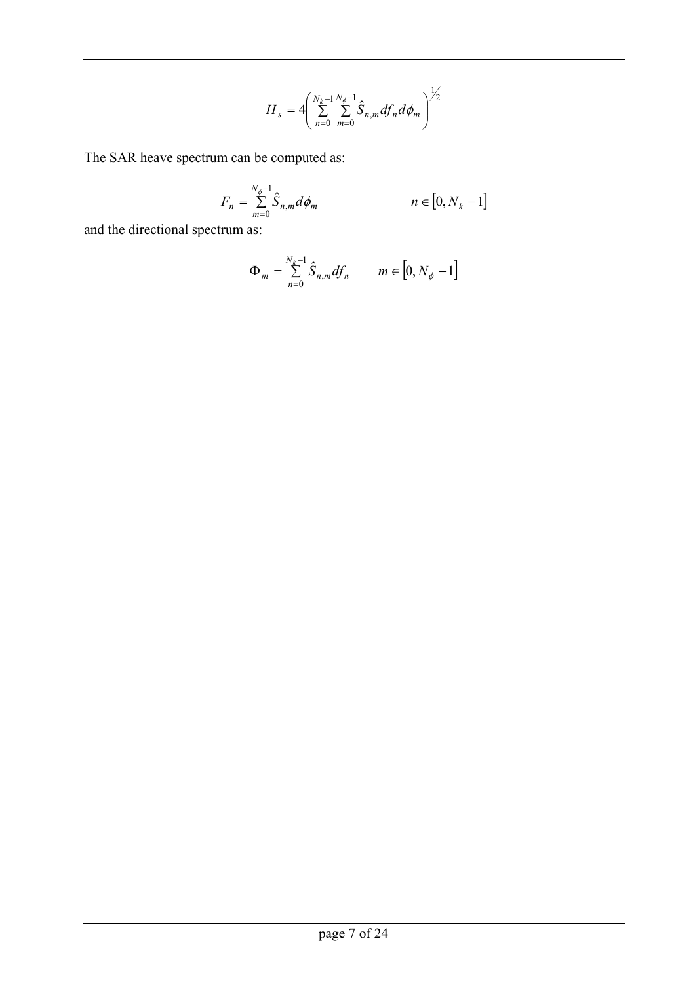$$
H_{s} = 4 \left( \sum_{n=0}^{N_{k}-1} \sum_{m=0}^{N_{\phi}-1} \hat{S}_{n,m} df_{n} d\phi_{m} \right)^{1/2}
$$

The SAR heave spectrum can be computed as:

$$
F_n = \sum_{m=0}^{N_{\phi}-1} \hat{S}_{n,m} d\phi_m \qquad n \in [0, N_k - 1]
$$

and the directional spectrum as:

$$
\Phi_m = \sum_{n=0}^{N_k - 1} \hat{S}_{n,m} df_n \qquad m \in [0, N_\phi - 1]
$$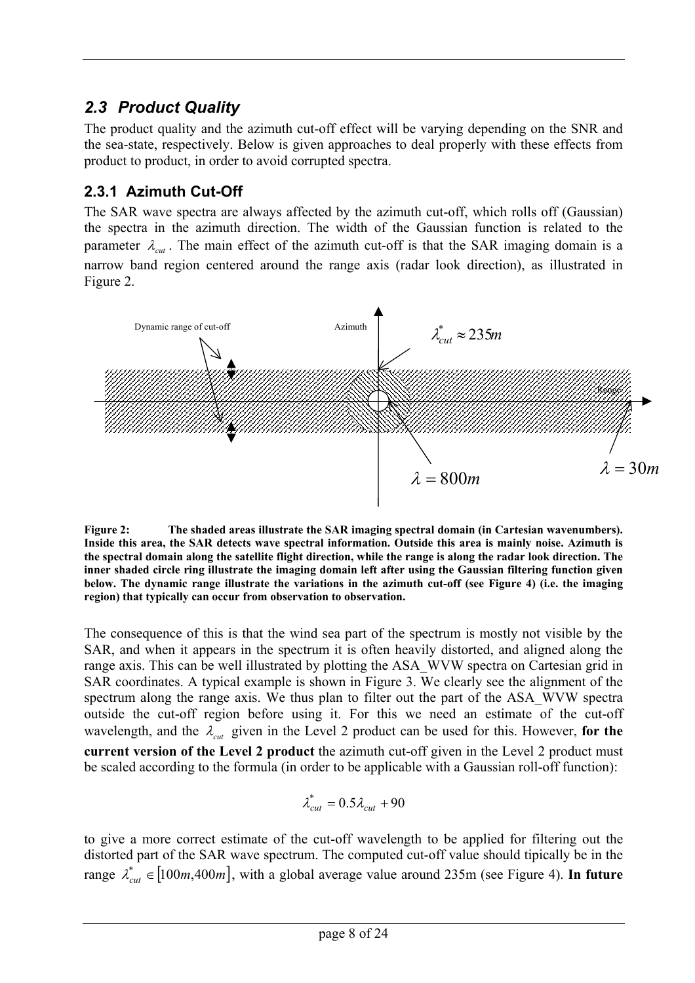## <span id="page-7-0"></span>*2.3 Product Quality*

The product quality and the azimuth cut-off effect will be varying depending on the SNR and the sea-state, respectively. Below is given approaches to deal properly with these effects from product to product, in order to avoid corrupted spectra.

### **2.3.1 Azimuth Cut-Off**

The SAR wave spectra are always affected by the azimuth cut-off, which rolls off (Gaussian) the spectra in the azimuth direction. The width of the Gaussian function is related to the parameter  $\lambda_{\text{cut}}$ . The main effect of the azimuth cut-off is that the SAR imaging domain is a narrow band region centered around the range axis (radar look direction), as illustrated in Figure 2.



**Figure 2: The shaded areas illustrate the SAR imaging spectral domain (in Cartesian wavenumbers). Inside this area, the SAR detects wave spectral information. Outside this area is mainly noise. Azimuth is the spectral domain along the satellite flight direction, while the range is along the radar look direction. The inner shaded circle ring illustrate the imaging domain left after using the Gaussian filtering function given below. The dynamic range illustrate the variations in the azimuth cut-off (see Figure 4) (i.e. the imaging region) that typically can occur from observation to observation.** 

The consequence of this is that the wind sea part of the spectrum is mostly not visible by the SAR, and when it appears in the spectrum it is often heavily distorted, and aligned along the range axis. This can be well illustrated by plotting the ASA\_WVW spectra on Cartesian grid in SAR coordinates. A typical example is shown in Figure 3. We clearly see the alignment of the spectrum along the range axis. We thus plan to filter out the part of the ASA\_WVW spectra outside the cut-off region before using it. For this we need an estimate of the cut-off wavelength, and the  $\lambda_{\text{cut}}$  given in the Level 2 product can be used for this. However, for the **current version of the Level 2 product** the azimuth cut-off given in the Level 2 product must be scaled according to the formula (in order to be applicable with a Gaussian roll-off function):

$$
\lambda_{cut}^* = 0.5 \lambda_{cut} + 90
$$

to give a more correct estimate of the cut-off wavelength to be applied for filtering out the distorted part of the SAR wave spectrum. The computed cut-off value should tipically be in the range  $\lambda_{cut}^* \in [100m, 400m]$ , with a global average value around 235m (see Figure 4). In future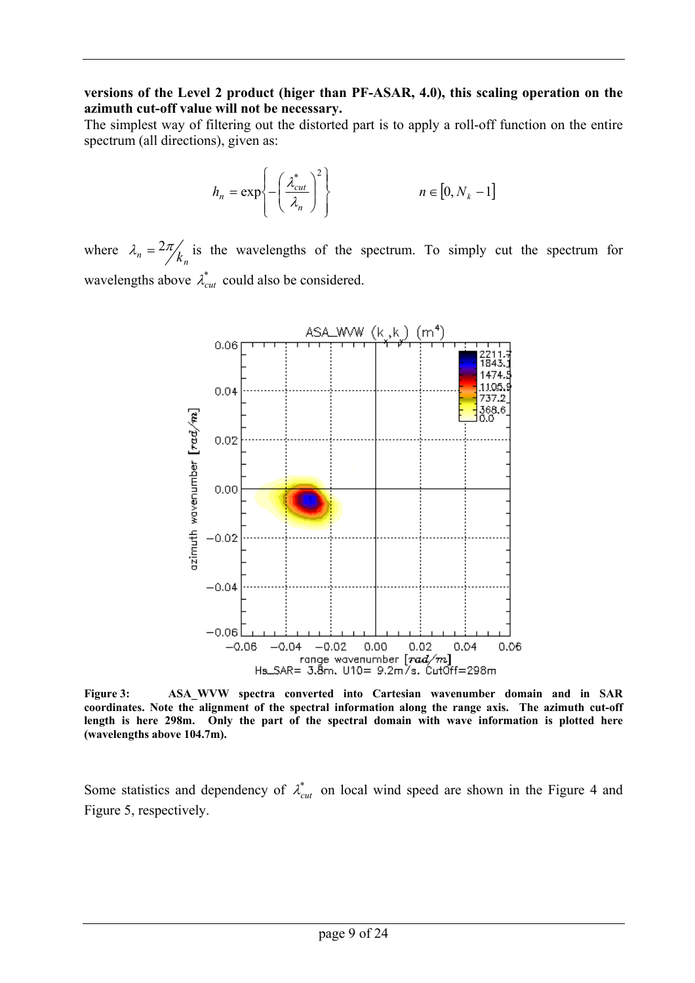#### **versions of the Level 2 product (higer than PF-ASAR, 4.0), this scaling operation on the azimuth cut-off value will not be necessary.**

The simplest way of filtering out the distorted part is to apply a roll-off function on the entire spectrum (all directions), given as:

$$
h_n = \exp\left\{-\left(\frac{\lambda_{cut}^*}{\lambda_n}\right)^2\right\} \qquad n \in [0, N_k - 1]
$$

where  $\lambda_n = \frac{2\pi}{k_n}$  is the wavelengths of the spectrum. To simply cut the spectrum for wavelengths above  $\lambda_{cut}^*$  could also be considered.



**Figure 3: ASA\_WVW spectra converted into Cartesian wavenumber domain and in SAR coordinates. Note the alignment of the spectral information along the range axis. The azimuth cut-off length is here 298m. Only the part of the spectral domain with wave information is plotted here (wavelengths above 104.7m).** 

Some statistics and dependency of  $\lambda_{cut}^*$  on local wind speed are shown in the Figure 4 and Figure 5, respectively.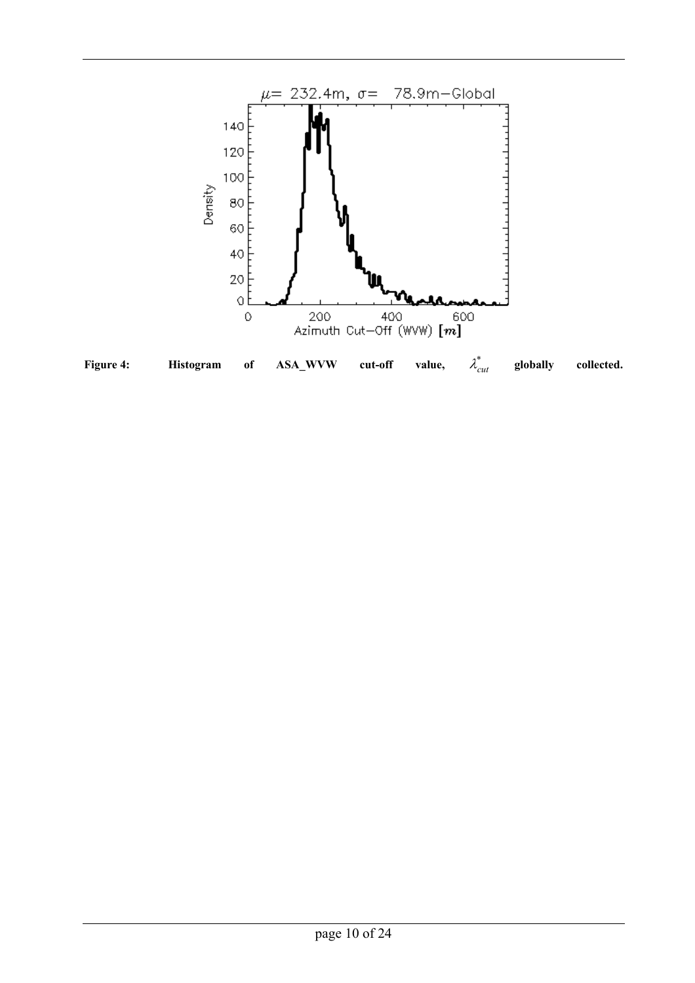

page 10 of 24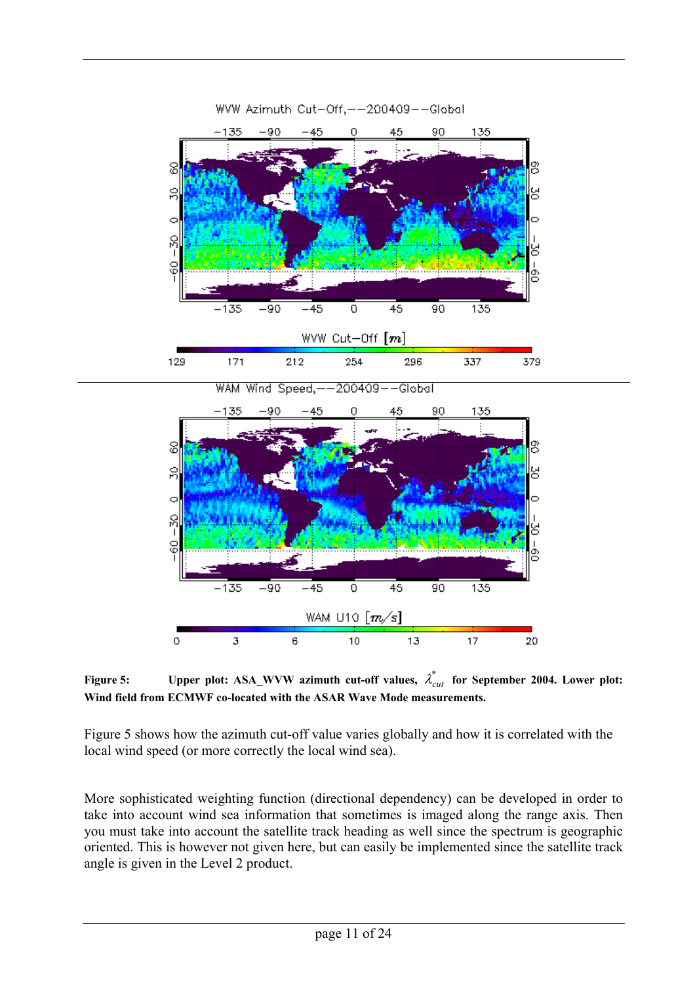



**Figure 5:** Upper plot: ASA\_WVW azimuth cut-off values,  $\lambda_{cut}^*$  for September 2004. Lower plot: **Wind field from ECMWF co-located with the ASAR Wave Mode measurements.**

Figure 5 shows how the azimuth cut-off value varies globally and how it is correlated with the local wind speed (or more correctly the local wind sea).

More sophisticated weighting function (directional dependency) can be developed in order to take into account wind sea information that sometimes is imaged along the range axis. Then you must take into account the satellite track heading as well since the spectrum is geographic oriented. This is however not given here, but can easily be implemented since the satellite track angle is given in the Level 2 product.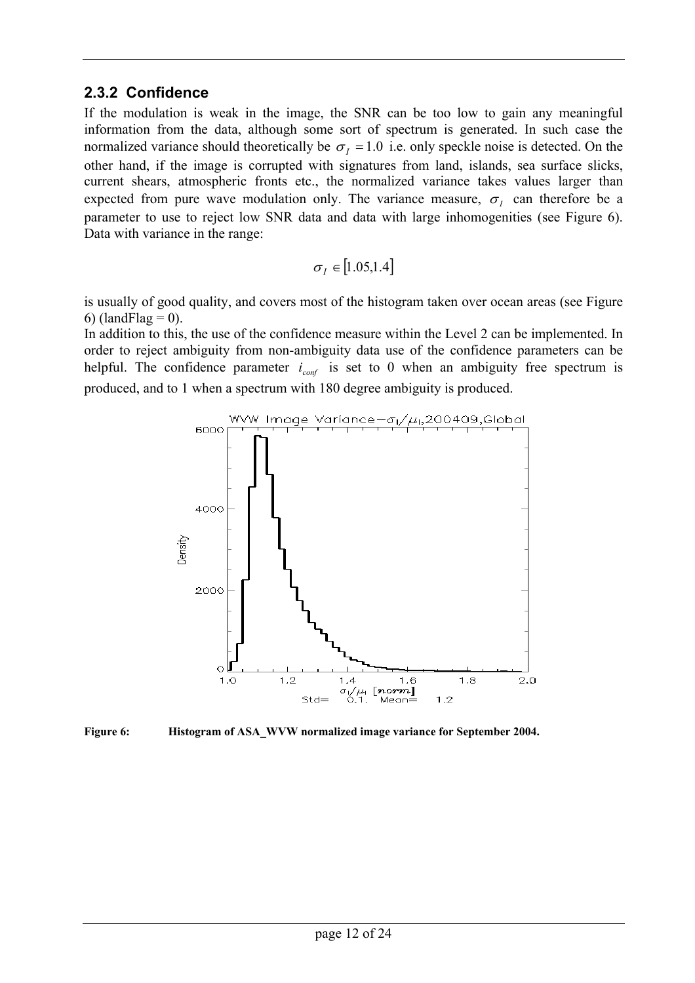#### <span id="page-11-0"></span>**2.3.2 Confidence**

If the modulation is weak in the image, the SNR can be too low to gain any meaningful information from the data, although some sort of spectrum is generated. In such case the normalized variance should theoretically be  $\sigma_l = 1.0$  i.e. only speckle noise is detected. On the other hand, if the image is corrupted with signatures from land, islands, sea surface slicks, current shears, atmospheric fronts etc., the normalized variance takes values larger than expected from pure wave modulation only. The variance measure,  $\sigma_i$  can therefore be a parameter to use to reject low SNR data and data with large inhomogenities (see Figure 6). Data with variance in the range:

$$
\sigma_I \in \big[1.05,\!1.4\big]
$$

is usually of good quality, and covers most of the histogram taken over ocean areas (see Figure 6) (landFlag  $= 0$ ).

In addition to this, the use of the confidence measure within the Level 2 can be implemented. In order to reject ambiguity from non-ambiguity data use of the confidence parameters can be helpful. The confidence parameter  $i_{\text{conf}}$  is set to 0 when an ambiguity free spectrum is produced, and to 1 when a spectrum with 180 degree ambiguity is produced.



**Figure 6: Histogram of ASA\_WVW normalized image variance for September 2004.**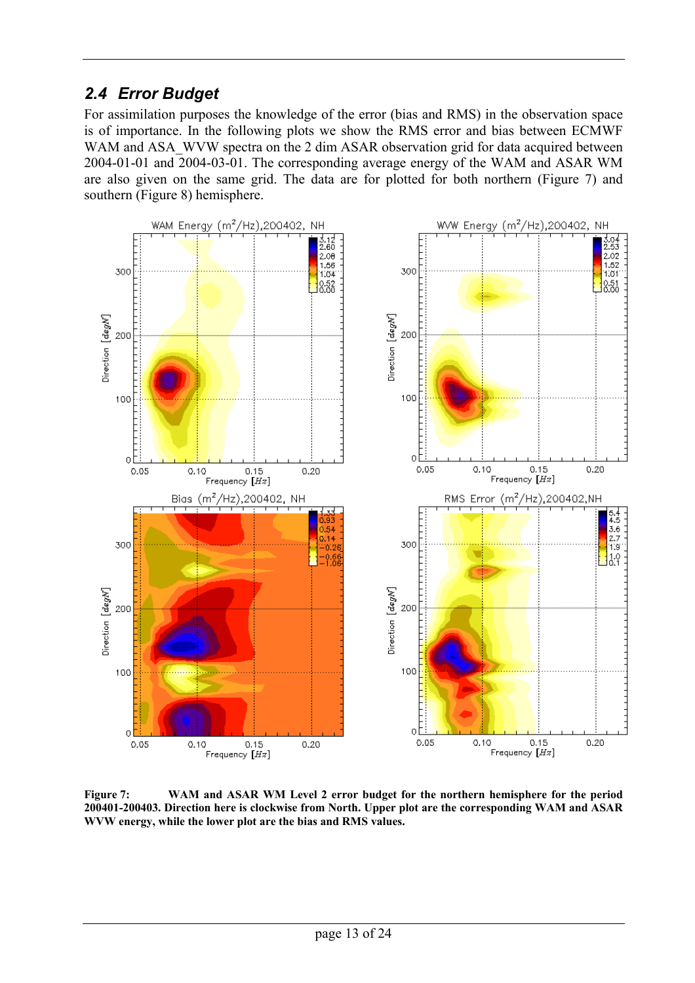### <span id="page-12-0"></span>*2.4 Error Budget*

For assimilation purposes the knowledge of the error (bias and RMS) in the observation space is of importance. In the following plots we show the RMS error and bias between ECMWF WAM and ASA\_WVW spectra on the 2 dim ASAR observation grid for data acquired between 2004-01-01 and 2004-03-01. The corresponding average energy of the WAM and ASAR WM are also given on the same grid. The data are for plotted for both northern (Figure 7) and southern (Figure 8) hemisphere.



**Figure 7: WAM and ASAR WM Level 2 error budget for the northern hemisphere for the period 200401-200403. Direction here is clockwise from North. Upper plot are the corresponding WAM and ASAR WVW energy, while the lower plot are the bias and RMS values.**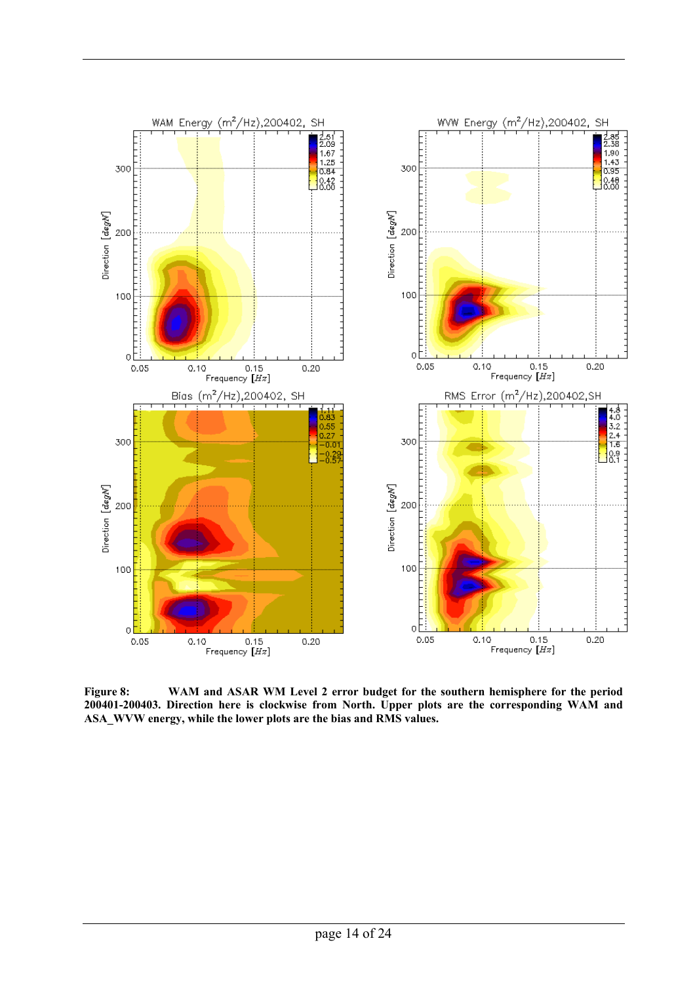

**Figure 8: WAM and ASAR WM Level 2 error budget for the southern hemisphere for the period 200401-200403. Direction here is clockwise from North. Upper plots are the corresponding WAM and ASA\_WVW energy, while the lower plots are the bias and RMS values.**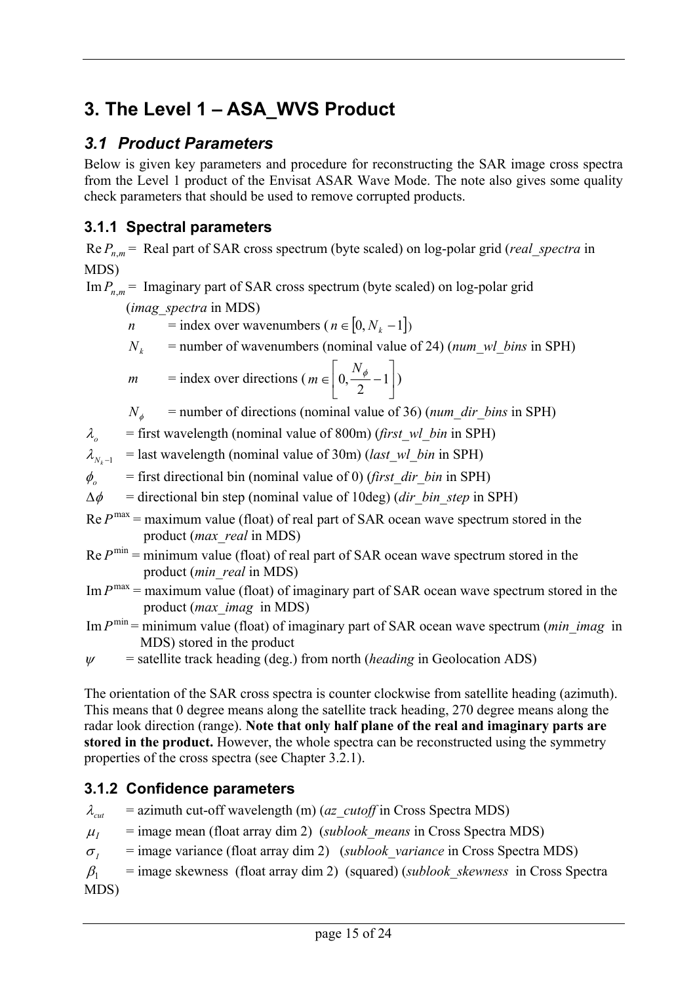# <span id="page-14-0"></span>**3. The Level 1 – ASA\_WVS Product**

## *3.1 Product Parameters*

Below is given key parameters and procedure for reconstructing the SAR image cross spectra from the Level 1 product of the Envisat ASAR Wave Mode. The note also gives some quality check parameters that should be used to remove corrupted products.

### **3.1.1 Spectral parameters**

 $Re P_{nm}$  = Real part of SAR cross spectrum (byte scaled) on log-polar grid (*real spectra* in MDS)

 $\text{Im} P_{n,m}$  = Imaginary part of SAR cross spectrum (byte scaled) on log-polar grid

(*imag\_spectra* in MDS)

*n* = index over wavenumbers ( $n \in [0, N_k -1]$ )

 $N_k$  = number of wavenumbers (nominal value of 24) (*num\_wl\_bins* in SPH)

$$
m = \text{index over directions} \left( m \in \left[ 0, \frac{N_{\phi}}{2} - 1 \right] \right)
$$

 $N_A$  = number of directions (nominal value of 36) (*num\_dir\_bins* in SPH)

 $\lambda_o$  = first wavelength (nominal value of 800m) (*first wl bin* in SPH)

 $\lambda_{N-1}$  = last wavelength (nominal value of 30m) (*last\_wl\_bin* in SPH)

 $\phi$ <sub>o</sub> = first directional bin (nominal value of 0) (*first dir bin* in SPH)

 $\Delta \phi$  = directional bin step (nominal value of 10deg) (*dir bin step* in SPH)

 $Re P<sup>max</sup>$  = maximum value (float) of real part of SAR ocean wave spectrum stored in the product (*max\_real* in MDS)

 $Re P<sup>min</sup> = minimum value (float) of real part of SAR ocean wave spectrum stored in the$ product (*min\_real* in MDS)

 $\text{Im } P^{\text{max}} = \text{maximum value (float) of imaginary part of SAR ocean wave spectrum stored in the}$ product (*max\_imag* in MDS)

 $\text{Im } P^{\text{min}}$  = minimum value (float) of imaginary part of SAR ocean wave spectrum (*min imag* in MDS) stored in the product

$$
\psi
$$
 = satellite track heading (deg.) from north (*heading* in Geolocation ADS)

The orientation of the SAR cross spectra is counter clockwise from satellite heading (azimuth). This means that 0 degree means along the satellite track heading, 270 degree means along the radar look direction (range). **Note that only half plane of the real and imaginary parts are stored in the product.** However, the whole spectra can be reconstructed using the symmetry properties of the cross spectra (see Chapter 3.2.1).

### **3.1.2 Confidence parameters**

 $\lambda_{\text{out}}$  = azimuth cut-off wavelength (m) (*az\_cutoff* in Cross Spectra MDS)

 $\mu_I$  = image mean (float array dim 2) (*sublook means* in Cross Spectra MDS)

 $\sigma$ <sub>*I*</sub> = image variance (float array dim 2) (*sublook variance* in Cross Spectra MDS)

 $\beta_1$  = image skewness (float array dim 2) (squared) (*sublook skewness* in Cross Spectra MDS)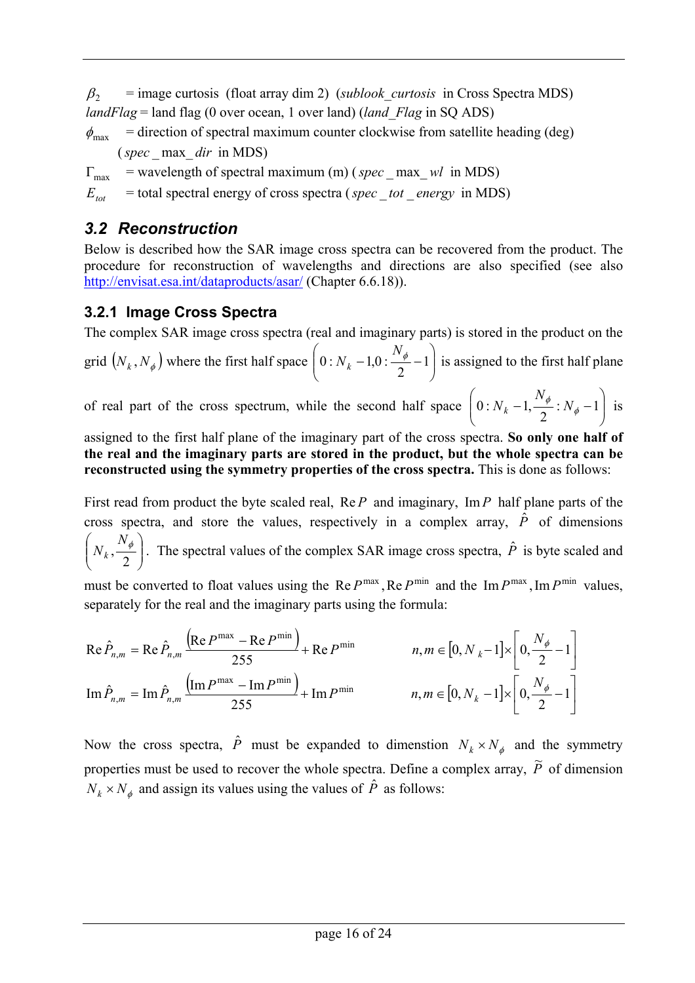<span id="page-15-0"></span> $\beta$ <sub>2</sub> = image curtosis (float array dim 2) (*sublook curtosis* in Cross Spectra MDS) *landFlag* = land flag (0 over ocean, 1 over land) (*land\_Flag* in SQ ADS)

 $\phi_{\text{max}}$  = direction of spectral maximum counter clockwise from satellite heading (deg) (*spec* \_ max\_ *dir* in MDS)

 $\Gamma_{\text{max}}$  = wavelength of spectral maximum (m) (*spec* max *wl* in MDS)

 $E_{tot}$  = total spectral energy of cross spectra (*spec* tot energy in MDS)

### *3.2 Reconstruction*

Below is described how the SAR image cross spectra can be recovered from the product. The procedure for reconstruction of wavelengths and directions are also specified (see also <http://envisat.esa.int/dataproducts/asar/> (Chapter 6.6.18)).

### **3.2.1 Image Cross Spectra**

The complex SAR image cross spectra (real and imaginary parts) is stored in the product on the

grid  $(N_k, N_{\phi})$  where the first half space  $\left[0: N_k - 1, 0: \frac{N_{\phi}}{2} - 1\right]$  $\bigg)$  $\setminus$  $\setminus$  $\left(0:N_k-1,0:\frac{N_\phi}{\sigma}-1\right)$ 2  $0: N_{k} - 1,0: \frac{N_{\phi}}{2}$  $\left(0:N_k-1,0:\frac{N_{\phi}}{2}-1\right)$  is assigned to the first half plane

of real part of the cross spectrum, while the second half space  $\left[0:N_k-1,\frac{N_{\phi}}{2}:N_{\phi}-1\right]$ J  $\setminus$  $\overline{\phantom{a}}$  $\setminus$  $\left(0:N_k-1,\frac{N_\phi}{2}:N_\phi-1\right)$  $0: N_k - 1, \frac{N_{\phi}}{2}: N_{\phi}$  $N_k - 1, \frac{\phi}{2} : N_\phi - 1$  is

assigned to the first half plane of the imaginary part of the cross spectra. **So only one half of the real and the imaginary parts are stored in the product, but the whole spectra can be reconstructed using the symmetry properties of the cross spectra.** This is done as follows:

First read from product the byte scaled real, Re *P* and imaginary, Im*P* half plane parts of the cross spectra, and store the values, respectively in a complex array,  $\hat{P}$  of dimensions  $\overline{\phantom{a}}$ J  $\backslash$  $\overline{\phantom{a}}$  $\setminus$ ſ  $N_k$ ,  $\frac{N_{\phi}}{2}$ . The spectral values of the complex SAR image cross spectra,  $\hat{P}$  is byte scaled and

must be converted to float values using the Re  $P^{\text{max}}$ , Re  $P^{\text{min}}$  and the Im  $P^{\text{max}}$ , Im  $P^{\text{min}}$  values, separately for the real and the imaginary parts using the formula:

$$
\operatorname{Re}\hat{P}_{n,m} = \operatorname{Re}\hat{P}_{n,m} \frac{\left(\operatorname{Re}P^{\max} - \operatorname{Re}P^{\min}\right)}{255} + \operatorname{Re}P^{\min} \qquad n, m \in [0, N_k - 1] \times \left[0, \frac{N_{\phi}}{2} - 1\right]
$$

$$
\operatorname{Im}\hat{P}_{n,m} = \operatorname{Im}\hat{P}_{n,m} \frac{\left(\operatorname{Im}P^{\max} - \operatorname{Im}P^{\min}\right)}{255} + \operatorname{Im}P^{\min} \qquad n, m \in [0, N_k - 1] \times \left[0, \frac{N_{\phi}}{2} - 1\right]
$$

Now the cross spectra,  $\hat{P}$  must be expanded to dimenstion  $N_k \times N_{\phi}$  and the symmetry properties must be used to recover the whole spectra. Define a complex array,  $\tilde{P}$  of dimension  $N_k \times N_{\phi}$  and assign its values using the values of  $\hat{P}$  as follows: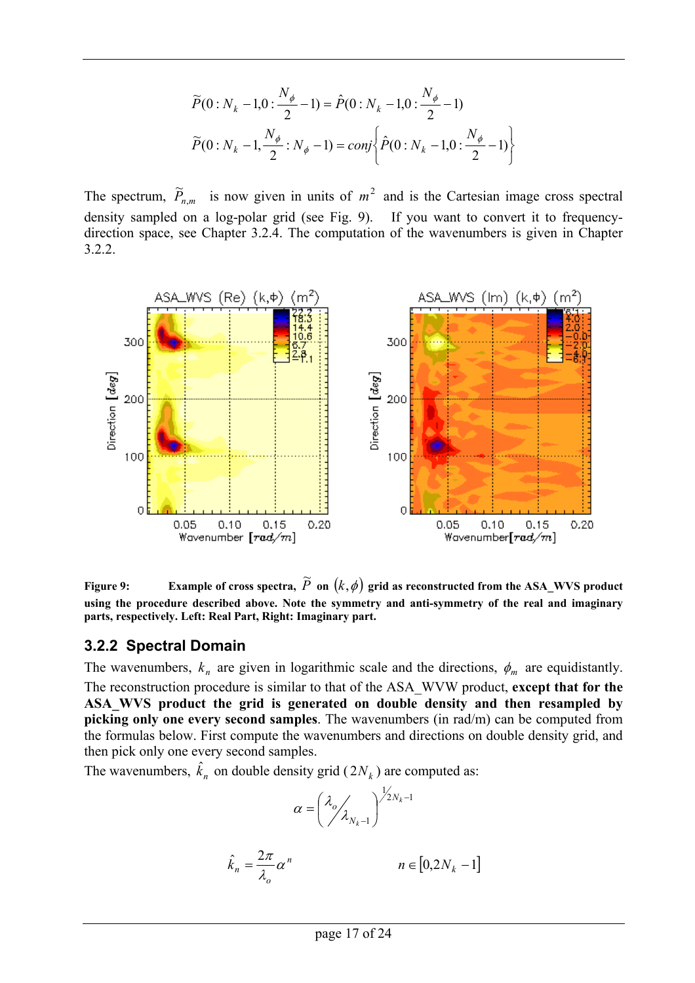$$
\widetilde{P}(0:N_k-1,0:\frac{N_{\phi}}{2}-1) = \hat{P}(0:N_k-1,0:\frac{N_{\phi}}{2}-1)
$$

$$
\widetilde{P}(0:N_k-1,\frac{N_{\phi}}{2}:N_{\phi}-1) = conj \left\{\hat{P}(0:N_k-1,0:\frac{N_{\phi}}{2}-1)\right\}
$$

<span id="page-16-0"></span>The spectrum,  $\widetilde{P}_{n,m}$  is now given in units of  $m^2$  and is the Cartesian image cross spectral density sampled on a log-polar grid (see Fig. 9). If you want to convert it to frequencydirection space, see Chapter 3.2.4. The computation of the wavenumbers is given in Chapter 3.2.2.



Figure 9: Example of cross spectra,  $\widetilde{P}$  on  $(k,\phi)$  grid as reconstructed from the ASA\_WVS product **using the procedure described above. Note the symmetry and anti-symmetry of the real and imaginary parts, respectively. Left: Real Part, Right: Imaginary part.** 

#### **3.2.2 Spectral Domain**

The wavenumbers,  $k_n$  are given in logarithmic scale and the directions,  $\phi_m$  are equidistantly. The reconstruction procedure is similar to that of the ASA\_WVW product, **except that for the ASA\_WVS product the grid is generated on double density and then resampled by picking only one every second samples**. The wavenumbers (in rad/m) can be computed from the formulas below. First compute the wavenumbers and directions on double density grid, and then pick only one every second samples.

The wavenumbers,  $\hat{k}_n$  on double density grid ( $2N_k$ ) are computed as:

$$
\alpha = \left(\frac{\lambda_o}{\lambda_{N_k-1}}\right)^{\frac{1}{2}N_k-1}
$$

$$
\hat{k}_n = \frac{2\pi}{\lambda_o} \alpha^n \qquad n \in [0, 2N_k - 1]
$$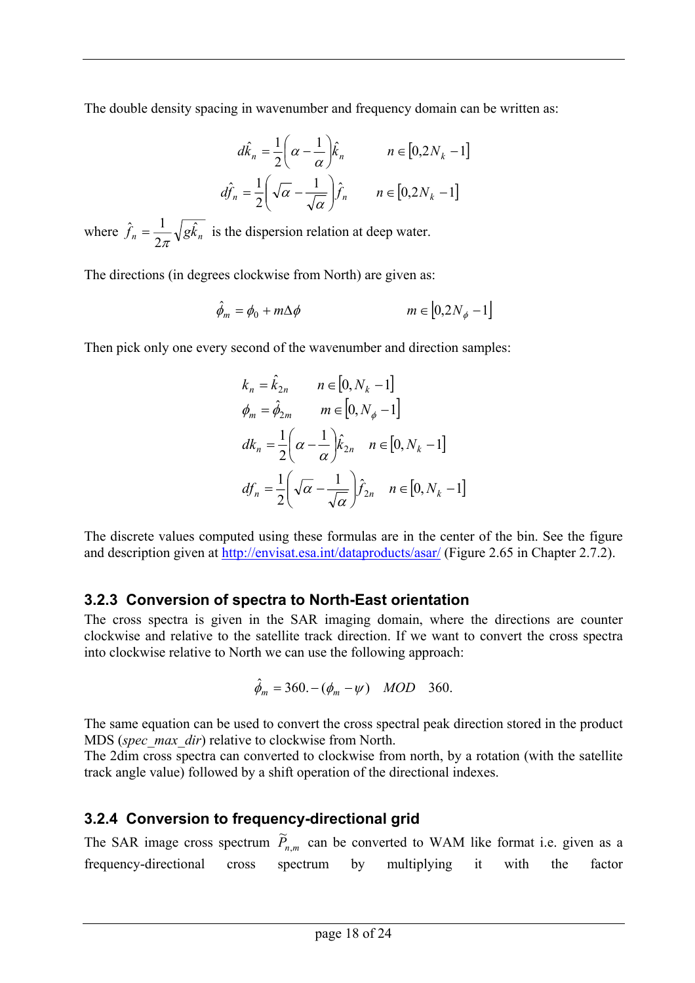<span id="page-17-0"></span>The double density spacing in wavenumber and frequency domain can be written as:

$$
d\hat{k}_n = \frac{1}{2} \left( \alpha - \frac{1}{\alpha} \right) \hat{k}_n \qquad n \in [0, 2N_k - 1]
$$

$$
d\hat{f}_n = \frac{1}{2} \left( \sqrt{\alpha} - \frac{1}{\sqrt{\alpha}} \right) \hat{f}_n \qquad n \in [0, 2N_k - 1]
$$

where  $\hat{f}_n = \frac{1}{2} \sqrt{g \hat{k}_n}$ 2  $\hat{f}_n = \frac{1}{2\pi} \sqrt{g\hat{k}_n}$  is the dispersion relation at deep water.

The directions (in degrees clockwise from North) are given as:

$$
\hat{\phi}_m = \phi_0 + m\Delta\phi \qquad m \in [0, 2N_\phi - 1]
$$

Then pick only one every second of the wavenumber and direction samples:

$$
k_n = \hat{k}_{2n} \qquad n \in [0, N_k - 1]
$$
  
\n
$$
\phi_m = \hat{\phi}_{2m} \qquad m \in [0, N_\phi - 1]
$$
  
\n
$$
dk_n = \frac{1}{2} \left( \alpha - \frac{1}{\alpha} \right) \hat{k}_{2n} \qquad n \in [0, N_k - 1]
$$
  
\n
$$
df_n = \frac{1}{2} \left( \sqrt{\alpha} - \frac{1}{\sqrt{\alpha}} \right) \hat{f}_{2n} \qquad n \in [0, N_k - 1]
$$

The discrete values computed using these formulas are in the center of the bin. See the figure and description given at<http://envisat.esa.int/dataproducts/asar/> (Figure 2.65 in Chapter 2.7.2).

### **3.2.3 Conversion of spectra to North-East orientation**

The cross spectra is given in the SAR imaging domain, where the directions are counter clockwise and relative to the satellite track direction. If we want to convert the cross spectra into clockwise relative to North we can use the following approach:

$$
\hat{\phi}_m = 360. - (\phi_m - \psi)
$$
 MOD 360.

The same equation can be used to convert the cross spectral peak direction stored in the product MDS (*spec\_max\_dir*) relative to clockwise from North.

The 2dim cross spectra can converted to clockwise from north, by a rotation (with the satellite track angle value) followed by a shift operation of the directional indexes.

### **3.2.4 Conversion to frequency-directional grid**

The SAR image cross spectrum  $\widetilde{P}_{n,m}$  can be converted to WAM like format i.e. given as a frequency-directional cross spectrum by multiplying it with the factor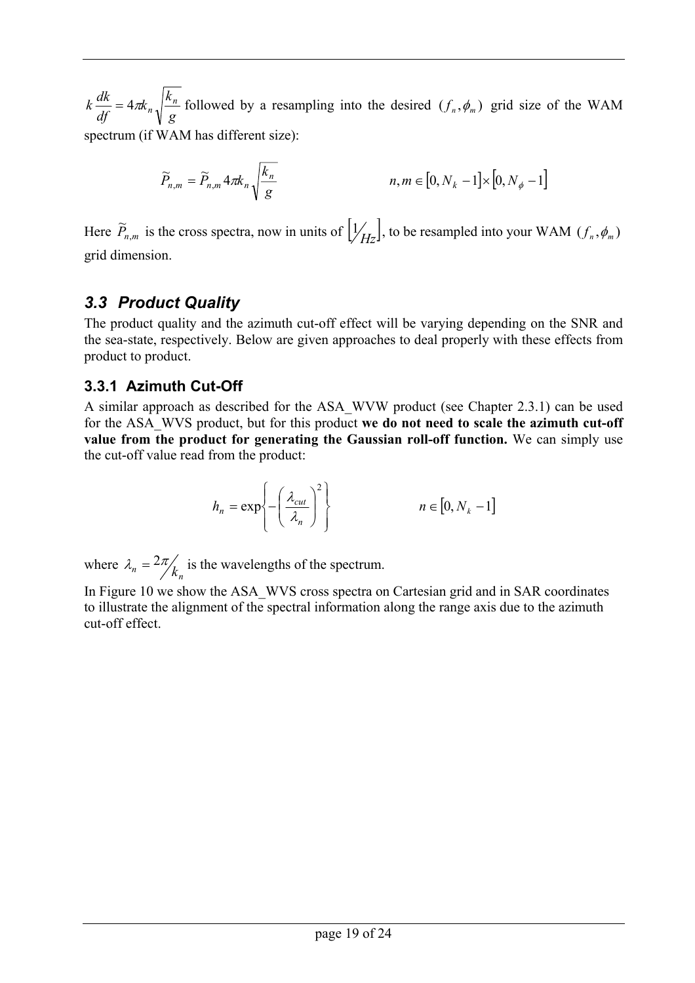<span id="page-18-0"></span>*g*  $k_{n}$ <sup> $k$ </sup>  $k \frac{dk}{df} = 4\pi k_n \sqrt{\frac{k_n}{g}}$  followed by a resampling into the desired  $(f_n, \phi_m)$  grid size of the WAM spectrum (if WAM has different size):

$$
\widetilde{P}_{n,m} = \widetilde{P}_{n,m} 4\pi k_n \sqrt{\frac{k_n}{g}}
$$
\n
$$
n, m \in [0, N_k - 1] \times [0, N_\phi - 1]
$$

Here  $\widetilde{P}_{n,m}$  is the cross spectra, now in units of  $\left[\frac{1}{Hz}\right]$ , to be resampled into your WAM  $(f_n, \phi_m)$ grid dimension.

### *3.3 Product Quality*

The product quality and the azimuth cut-off effect will be varying depending on the SNR and the sea-state, respectively. Below are given approaches to deal properly with these effects from product to product.

### **3.3.1 Azimuth Cut-Off**

A similar approach as described for the ASA\_WVW product (see Chapter 2.3.1) can be used for the ASA\_WVS product, but for this product **we do not need to scale the azimuth cut-off value from the product for generating the Gaussian roll-off function.** We can simply use the cut-off value read from the product:

$$
h_n = \exp\left\{-\left(\frac{\lambda_{cut}}{\lambda_n}\right)^2\right\} \qquad n \in [0, N_k - 1]
$$

where  $\lambda_n = \frac{2\pi}{k_n}$  is the wavelengths of the spectrum.

In Figure 10 we show the ASA\_WVS cross spectra on Cartesian grid and in SAR coordinates to illustrate the alignment of the spectral information along the range axis due to the azimuth cut-off effect.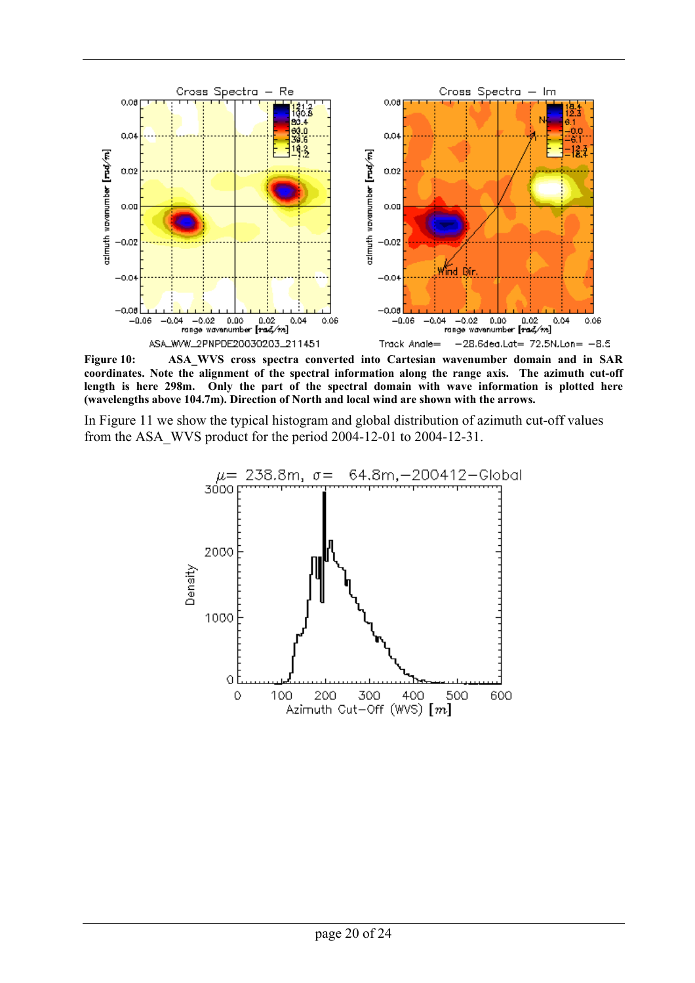

**Figure 10: ASA\_WVS cross spectra converted into Cartesian wavenumber domain and in SAR coordinates. Note the alignment of the spectral information along the range axis. The azimuth cut-off length is here 298m. Only the part of the spectral domain with wave information is plotted here (wavelengths above 104.7m). Direction of North and local wind are shown with the arrows.** 

In Figure 11 we show the typical histogram and global distribution of azimuth cut-off values from the ASA\_WVS product for the period 2004-12-01 to 2004-12-31.

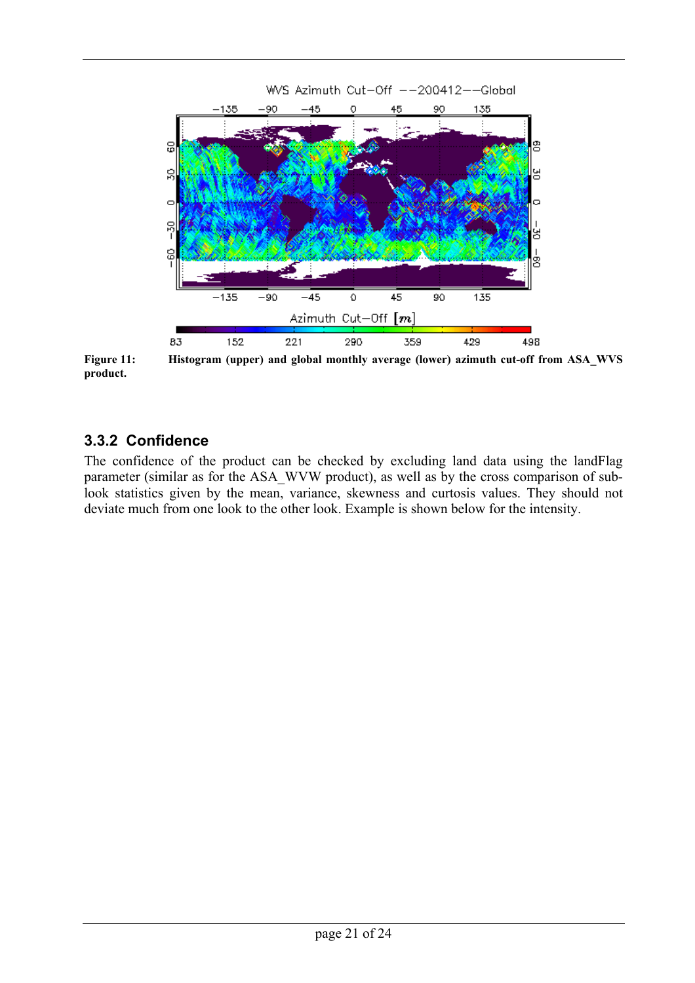<span id="page-20-0"></span>

**Figure 11: Histogram (upper) and global monthly average (lower) azimuth cut-off from ASA\_WVS product.**

### **3.3.2 Confidence**

The confidence of the product can be checked by excluding land data using the landFlag parameter (similar as for the ASA\_WVW product), as well as by the cross comparison of sublook statistics given by the mean, variance, skewness and curtosis values. They should not deviate much from one look to the other look. Example is shown below for the intensity.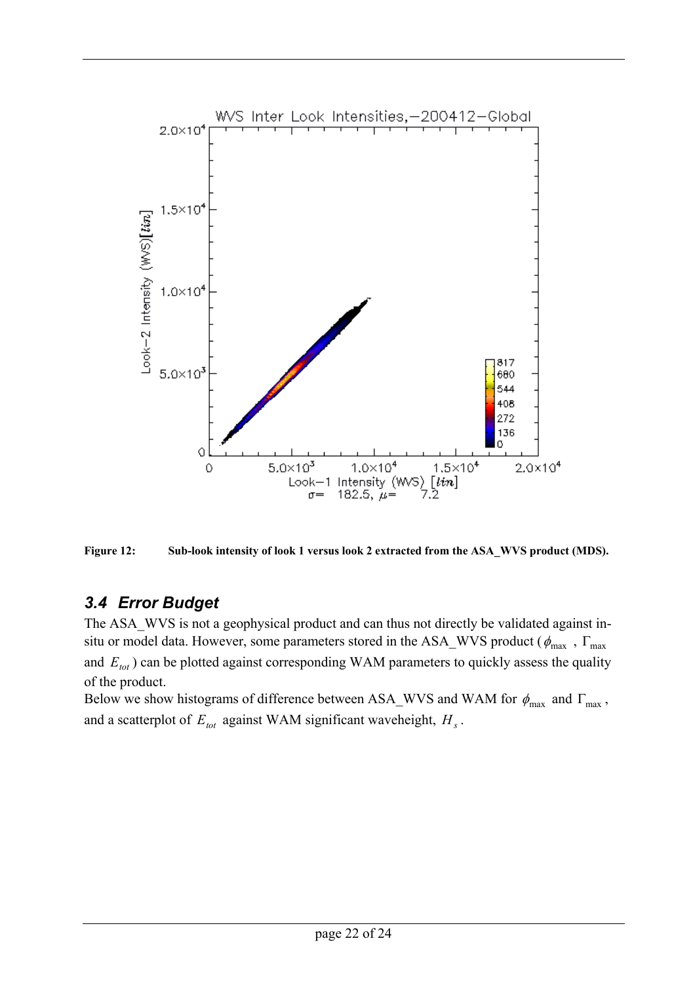<span id="page-21-0"></span>



### *3.4 Error Budget*

The ASA WVS is not a geophysical product and can thus not directly be validated against insitu or model data. However, some parameters stored in the ASA\_WVS product ( $\phi_{\text{max}}$ ,  $\Gamma_{\text{max}}$ and  $E_{tot}$ ) can be plotted against corresponding WAM parameters to quickly assess the quality of the product.

Below we show histograms of difference between ASA\_WVS and WAM for  $\phi_{\text{max}}$  and  $\Gamma_{\text{max}}$ , and a scatterplot of  $E_{tot}$  against WAM significant waveheight,  $H_s$ .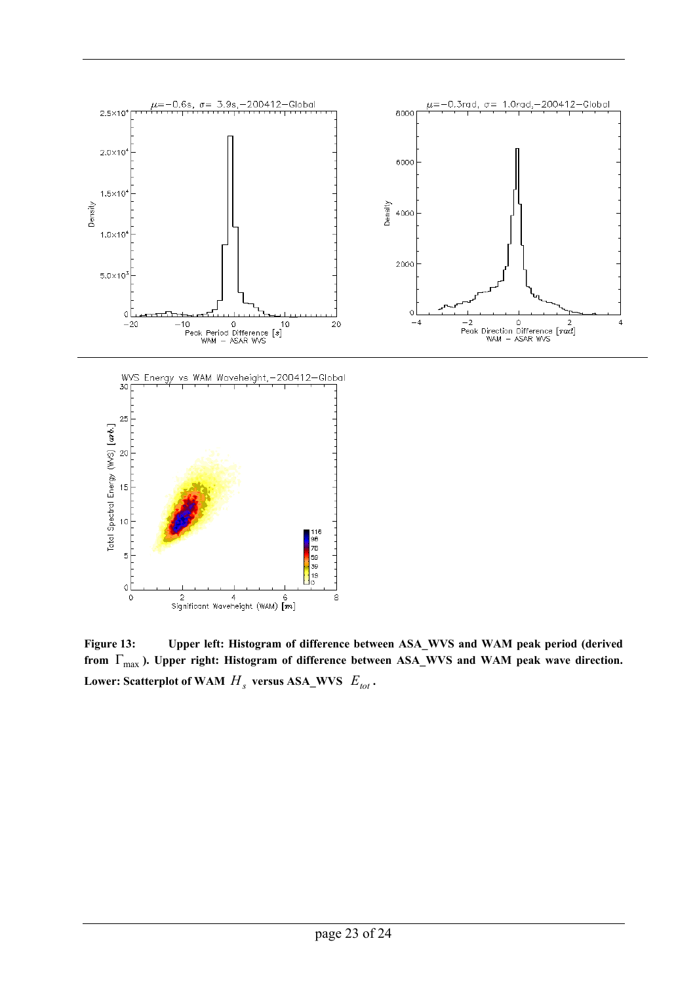

**Figure 13: Upper left: Histogram of difference between ASA\_WVS and WAM peak period (derived**  from  $\Gamma_{\text{max}}$ ). Upper right: Histogram of difference between ASA\_WVS and WAM peak wave direction. Lower: Scatterplot of WAM  $H_s$  versus ASA\_WVS  $E_{tot}$ .

8

 $\circ$ 

 $\ddot{\rm{o}}$ 

2 4 6<br>Significant Waveheight (WAM)  $\begin{bmatrix} m \end{bmatrix}$